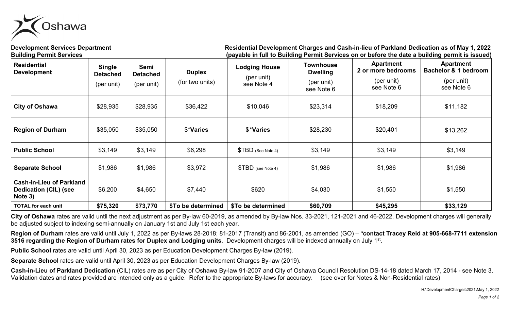

**Development Services Department Residential Development Charges and Cash-in-lieu of Parkland Dedication as of May 1, 2022 Building Permit Services (payable in full to Building Permit Services on or before the date a building permit is issued)**

|                                                                                                                                     |                 |                          |                          | $Pu$ , $Pu$ , $Pu$ , $Pu$ , $Pu$ , $Pu$ , $Pu$ , $Pu$ , $Pu$ , $Pu$ , $Pu$ , $Pu$ , $Pu$ , $Pu$ , $Pu$ , $Pu$ , $Pu$ , $Pu$ , $P$ |                              | $\mathbf{y}$ . Simily Softhood Sir Si Rotors the date | אסט סיייייניש פי                                    |
|-------------------------------------------------------------------------------------------------------------------------------------|-----------------|--------------------------|--------------------------|-----------------------------------------------------------------------------------------------------------------------------------|------------------------------|-------------------------------------------------------|-----------------------------------------------------|
| <b>Residential</b><br><b>Single</b><br>Semi<br><b>Development</b><br><b>Detached</b><br><b>Detached</b><br>(per unit)<br>(per unit) |                 |                          | <b>Duplex</b>            | <b>Lodging House</b>                                                                                                              | Townhouse<br><b>Dwelling</b> | <b>Apartment</b><br>2 or more bedrooms                | <b>Apartment</b><br><b>Bachelor &amp; 1 bedroom</b> |
|                                                                                                                                     | (for two units) | (per unit)<br>see Note 4 | (per unit)<br>see Note 6 | (per unit)<br>see Note 6                                                                                                          | (per unit)<br>see Note 6     |                                                       |                                                     |
| <b>City of Oshawa</b>                                                                                                               | \$28,935        | \$28,935                 | \$36,422                 | \$10,046                                                                                                                          | \$23,314                     | \$18,209                                              | \$11,182                                            |
| <b>Region of Durham</b>                                                                                                             | \$35,050        | \$35,050                 | \$*Varies                | \$*Varies                                                                                                                         | \$28,230                     | \$20,401                                              | \$13,262                                            |
| <b>Public School</b>                                                                                                                | \$3,149         | \$3,149                  | \$6,298                  | $$TBD$ (See Note 4)                                                                                                               | \$3,149                      | \$3,149                                               | \$3,149                                             |
| <b>Separate School</b>                                                                                                              | \$1,986         | \$1,986                  | \$3,972                  | $$TBD$ (see Note 4)                                                                                                               | \$1,986                      | \$1,986                                               | \$1,986                                             |
| <b>Cash-in-Lieu of Parkland</b><br><b>Dedication (CIL) (see</b><br>Note 3)                                                          | \$6,200         | \$4,650                  | \$7,440                  | \$620                                                                                                                             | \$4,030                      | \$1,550                                               | \$1,550                                             |
| <b>TOTAL for each unit</b>                                                                                                          | \$75,320        | \$73,770                 | \$To be determined       | \$To be determined                                                                                                                | \$60,709                     | \$45,295                                              | \$33,129                                            |

**City of Oshawa** rates are valid until the next adjustment as per By-law 60-2019, as amended by By-law Nos. 33-2021, 121-2021 and 46-2022. Development charges will generally be adjusted subject to indexing semi-annually on January 1st and July 1st each year.

**Region of Durham** rates are valid until July 1, 2022 as per By-laws 28-2018; 81-2017 (Transit) and 86-2001, as amended (GO) – *\****contact Tracey Reid at 905-668-7711 extension 3516 regarding the Region of Durham rates for Duplex and Lodging units**. Development charges will be indexed annually on July 1st.

**Public School** rates are valid until April 30, 2023 as per Education Development Charges By-law (2019).

**Separate School** rates are valid until April 30, 2023 as per Education Development Charges By-law (2019).

**Cash-in-Lieu of Parkland Dedication** (CIL) rates are as per City of Oshawa By-law 91-2007 and City of Oshawa Council Resolution DS-14-18 dated March 17, 2014 - see Note 3. Validation dates and rates provided are intended only as a guide. Refer to the appropriate By-laws for accuracy. (see over for Notes & Non-Residential rates)